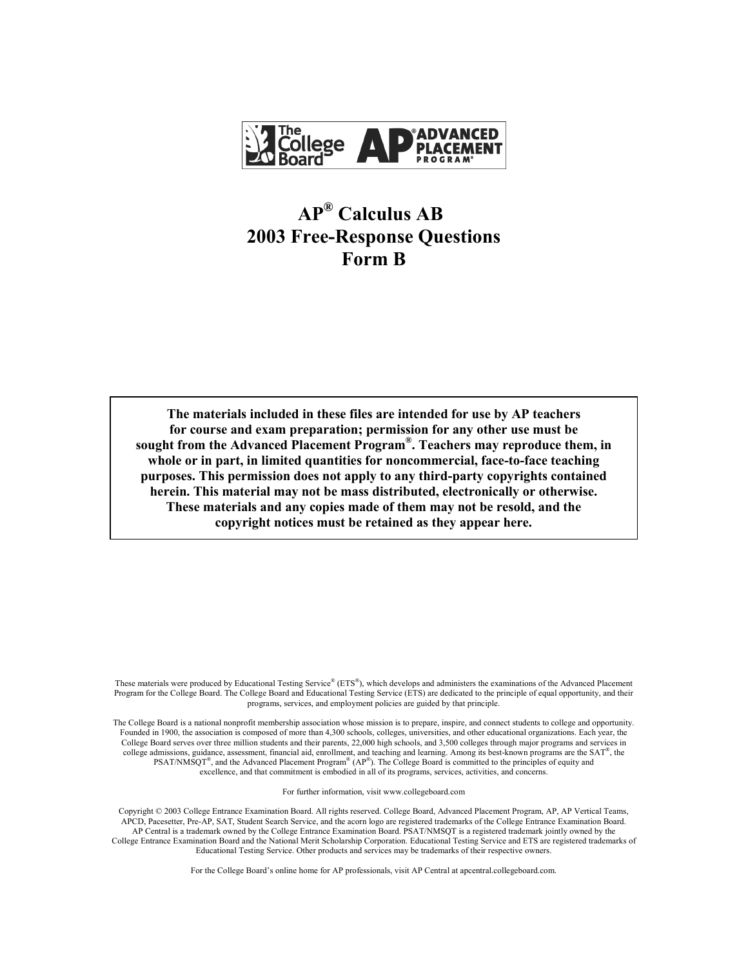

# **AP® Calculus AB 2003 Free-Response Questions Form B**

**The materials included in these files are intended for use by AP teachers for course and exam preparation; permission for any other use must be sought from the Advanced Placement Program®. Teachers may reproduce them, in whole or in part, in limited quantities for noncommercial, face-to-face teaching purposes. This permission does not apply to any third-party copyrights contained herein. This material may not be mass distributed, electronically or otherwise. These materials and any copies made of them may not be resold, and the copyright notices must be retained as they appear here.** 

These materials were produced by Educational Testing Service® (ETS®), which develops and administers the examinations of the Advanced Placement Program for the College Board. The College Board and Educational Testing Service (ETS) are dedicated to the principle of equal opportunity, and their programs, services, and employment policies are guided by that principle.

The College Board is a national nonprofit membership association whose mission is to prepare, inspire, and connect students to college and opportunity. Founded in 1900, the association is composed of more than 4,300 schools, colleges, universities, and other educational organizations. Each year, the College Board serves over three million students and their parents, 22,000 high schools, and 3,500 colleges through major programs and services in college admissions, guidance, assessment, financial aid, enrollment, and teaching and learning. Among its best-known programs are the  $SAT^{\circ}$ , the PSAT/NMSQT<sup>®</sup>, and the Advanced Placement Program<sup>®</sup> (AP<sup>®</sup>). The College Board is committed to the principles of equity and excellence, and that commitment is embodied in all of its programs, services, activities, and concerns.

For further information, visit www.collegeboard.com

Copyright © 2003 College Entrance Examination Board. All rights reserved. College Board, Advanced Placement Program, AP, AP Vertical Teams, APCD, Pacesetter, Pre-AP, SAT, Student Search Service, and the acorn logo are registered trademarks of the College Entrance Examination Board. AP Central is a trademark owned by the College Entrance Examination Board. PSAT/NMSQT is a registered trademark jointly owned by the College Entrance Examination Board and the National Merit Scholarship Corporation. Educational Testing Service and ETS are registered trademarks of Educational Testing Service. Other products and services may be trademarks of their respective owners.

For the College Board's online home for AP professionals, visit AP Central at apcentral.collegeboard.com.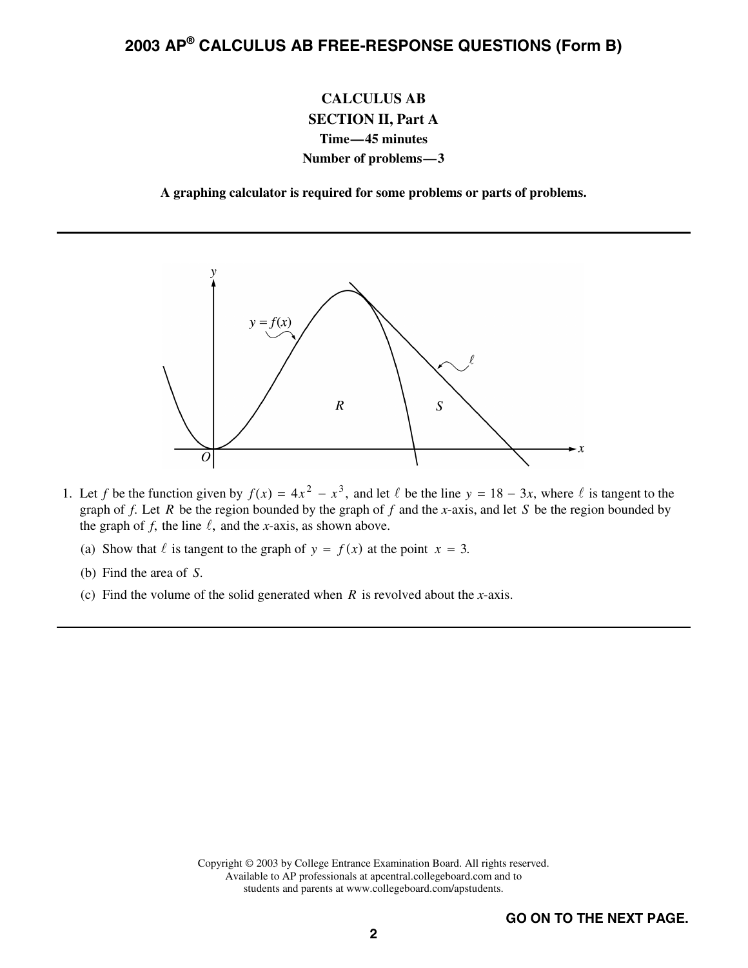### **CALCULUS AB SECTION II, Part A Time—45 minutes Number of problems—3**

**A graphing calculator is required for some problems or parts of problems.** 



- 1. Let *f* be the function given by  $f(x) = 4x^2 x^3$ , and let  $\ell$  be the line  $y = 18 3x$ , where  $\ell$  is tangent to the graph of *f*. Let *R* be the region bounded by the graph of *f* and the *x*-axis, and let *S* be the region bounded by the graph of *f*, the line  $\ell$ , and the *x*-axis, as shown above.
	- (a) Show that  $\ell$  is tangent to the graph of  $y = f(x)$  at the point  $x = 3$ .
	- (b) Find the area of *S*.
	- (c) Find the volume of the solid generated when *R* is revolved about the *x*-axis.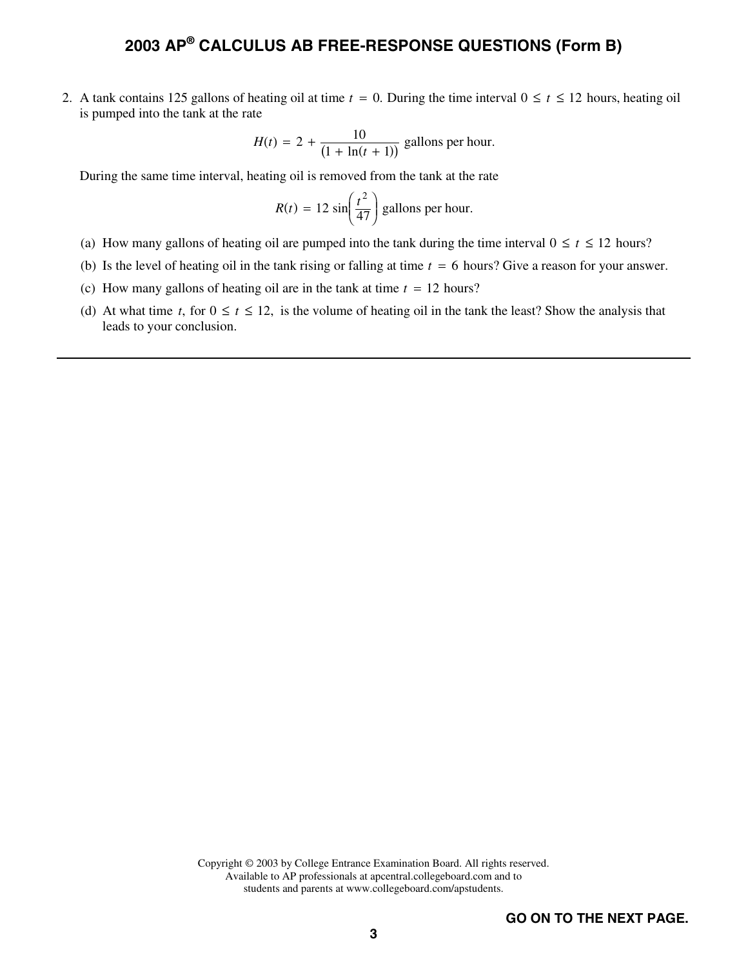2. A tank contains 125 gallons of heating oil at time  $t = 0$ . During the time interval  $0 \le t \le 12$  hours, heating oil is pumped into the tank at the rate

$$
H(t) = 2 + \frac{10}{(1 + \ln(t + 1))}
$$
 gallons per hour.

During the same time interval, heating oil is removed from the tank at the rate

$$
R(t) = 12 \sin\left(\frac{t^2}{47}\right)
$$
 gallons per hour.

- (a) How many gallons of heating oil are pumped into the tank during the time interval  $0 \le t \le 12$  hours?
- (b) Is the level of heating oil in the tank rising or falling at time  $t = 6$  hours? Give a reason for your answer.
- (c) How many gallons of heating oil are in the tank at time  $t = 12$  hours?
- (d) At what time *t*, for  $0 \le t \le 12$ , is the volume of heating oil in the tank the least? Show the analysis that leads to your conclusion.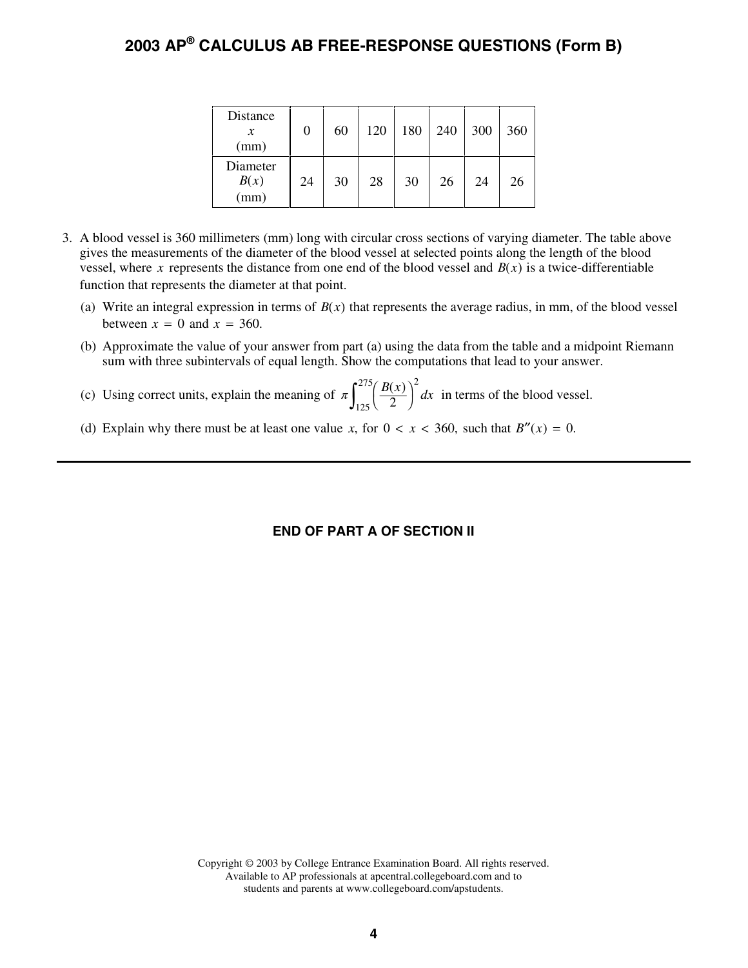| Distance<br>х<br>(mm)                      |    | 60 | 120 | 180 | 240 | 300 | 360 |
|--------------------------------------------|----|----|-----|-----|-----|-----|-----|
| Diameter<br>B(x)<br>$\overset{\sim}{(mm)}$ | 24 | 30 | 28  | 30  | 26  | 24  | 26  |

- 3. A blood vessel is 360 millimeters (mm) long with circular cross sections of varying diameter. The table above gives the measurements of the diameter of the blood vessel at selected points along the length of the blood vessel, where x represents the distance from one end of the blood vessel and  $B(x)$  is a twice-differentiable function that represents the diameter at that point.
	- (a) Write an integral expression in terms of  $B(x)$  that represents the average radius, in mm, of the blood vessel between  $x = 0$  and  $x = 360$ .
	- (b) Approximate the value of your answer from part (a) using the data from the table and a midpoint Riemann sum with three subintervals of equal length. Show the computations that lead to your answer.
	- (c) Using correct units, explain the meaning of  $\pi \int_{0}^{275} \left( \frac{B(x)}{2} \right)^2 dx$  $\int_{125}^{275} \left(\frac{B(x)}{2}\right)$ 2 125 275 in terms of the blood vessel.
	- (d) Explain why there must be at least one value *x*, for  $0 < x < 360$ , such that  $B''(x) = 0$ .

#### **END OF PART A OF SECTION II**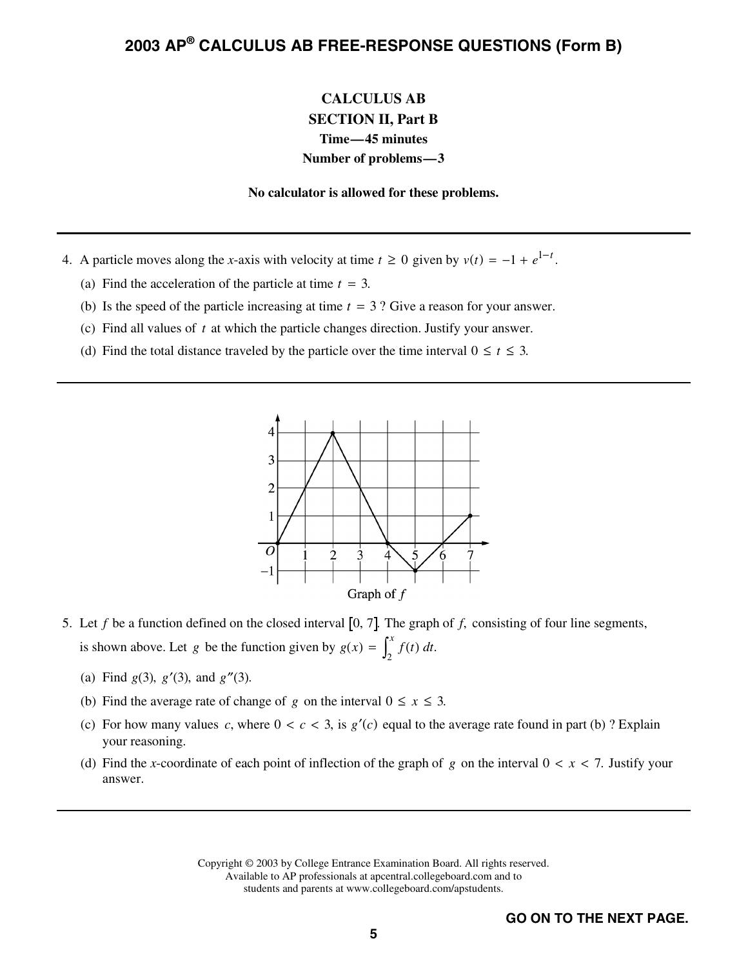### **CALCULUS AB SECTION II, Part B Time—45 minutes Number of problems—3**

**No calculator is allowed for these problems.** 

- 4. A particle moves along the *x*-axis with velocity at time  $t \ge 0$  given by  $v(t) = -1 + e^{1-t}$ .
	- (a) Find the acceleration of the particle at time  $t = 3$ .
	- (b) Is the speed of the particle increasing at time  $t = 3$ ? Give a reason for your answer.
	- (c) Find all values of *t* at which the particle changes direction. Justify your answer.
	- (d) Find the total distance traveled by the particle over the time interval  $0 \le t \le 3$ .



- 5. Let  $f$  be a function defined on the closed interval  $[0, 7]$ . The graph of  $f$ , consisting of four line segments, is shown above. Let *g* be the function given by  $g(x) = \int_{0}^{x} f(t) dt$ The graph<br> $\int_2^x f(t) dt$ .
	- (a) Find  $g(3)$ ,  $g'(3)$ , and  $g''(3)$ .
	- (b) Find the average rate of change of *g* on the interval  $0 \le x \le 3$ .
	- (c) For how many values *c*, where  $0 < c < 3$ , is  $g'(c)$  equal to the average rate found in part (b) ? Explain your reasoning.
	- (d) Find the *x*-coordinate of each point of inflection of the graph of *g* on the interval  $0 < x < 7$ . Justify your answer.